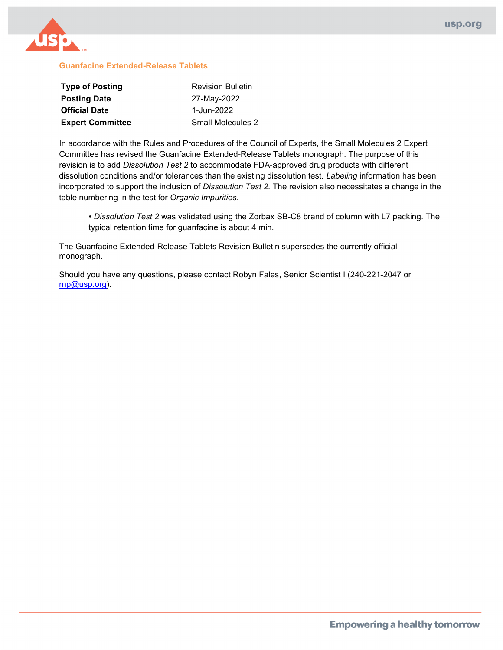

#### **Guanfacine Extended-Release Tablets**

| <b>Type of Posting</b>  | <b>Revision Bulletin</b> |
|-------------------------|--------------------------|
| <b>Posting Date</b>     | 27-May-2022              |
| <b>Official Date</b>    | 1-Jun-2022               |
| <b>Expert Committee</b> | Small Molecules 2        |

In accordance with the Rules and Procedures of the Council of Experts, the Small Molecules 2 Expert Committee has revised the Guanfacine Extended-Release Tablets monograph. The purpose of this revision is to add *Dissolution Test 2* to accommodate FDA-approved drug products with different dissolution conditions and/or tolerances than the existing dissolution test. *Labeling* information has been incorporated to support the inclusion of *Dissolution Test 2.* The revision also necessitates a change in the table numbering in the test for *Organic Impurities*.

• *Dissolution Test 2* was validated using the Zorbax SB-C8 brand of column with L7 packing. The typical retention time for guanfacine is about 4 min.

The Guanfacine Extended-Release Tablets Revision Bulletin supersedes the currently official monograph.

Should you have any questions, please contact Robyn Fales, Senior Scientist I (240-221-2047 or [rnp@usp.org\)](mailto:rnp@usp.org).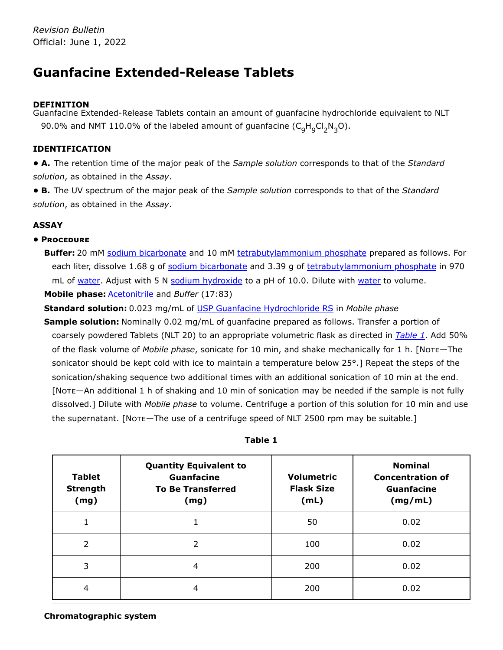# **Guanfacine Extended-Release Tablets**

# **DEFINITION**

Guanfacine Extended-Release Tablets contain an amount of guanfacine hydrochloride equivalent to NLT 90.0% and NMT 110.0% of the labeled amount of guanfacine  $(\mathsf{C}_9\mathsf{H}_9\mathsf{CI}_2\mathsf{N}_3\mathsf{O}).$ 

# **IDENTIFICATION**

**• A.** The retention time of the major peak of the *Sample solution* corresponds to that of the *Standard solution*, as obtained in the *Assay*.

**• B.** The UV spectrum of the major peak of the *Sample solution* corresponds to that of the *Standard solution*, as obtained in the *Assay*.

# **ASSAY**

# **• Procedure**

Buffer: 20 mM sodium bicarbonate and 10 mM tetrabutylammonium phosphate prepared as follows. For each liter, dissolve 1.68 g of sodium bicarbonate and 3.39 g of tetrabutylammonium phosphate in 970 mL of water. Adjust with 5 N sodium hydroxide to a pH of 10.0. Dilute with water to volume. **Mobile phase:** Acetonitrile and *Buffer* (17:83)

**Standard solution:** 0.023 mg/mL of [USP Guanfacine Hydrochloride RS](https://store.usp.org/searchresults?Ntt=1302101&searchType=simple&type=search) in *Mobile phase*

**Sample solution:** Nominally 0.02 mg/mL of guanfacine prepared as follows. Transfer a portion of coarsely powdered Tablets (NLT 20) to an appropriate volumetric flask as directed in *[Table 1](#page-1-0)*. Add 50% of the flask volume of *Mobile phase*, sonicate for 10 min, and shake mechanically for 1 h. [Note—The sonicator should be kept cold with ice to maintain a temperature below 25°.] Repeat the steps of the sonication/shaking sequence two additional times with an additional sonication of 10 min at the end. [Note—An additional 1 h of shaking and 10 min of sonication may be needed if the sample is not fully dissolved.] Dilute with *Mobile phase* to volume. Centrifuge a portion of this solution for 10 min and use the supernatant. [Note—The use of a centrifuge speed of NLT 2500 rpm may be suitable.]

<span id="page-1-0"></span>

| <b>Tablet</b><br><b>Strength</b><br>(mg) | <b>Quantity Equivalent to</b><br><b>Guanfacine</b><br><b>To Be Transferred</b><br>(mg) | <b>Volumetric</b><br><b>Flask Size</b><br>(mL) | <b>Nominal</b><br><b>Concentration of</b><br><b>Guanfacine</b><br>(mg/mL) |
|------------------------------------------|----------------------------------------------------------------------------------------|------------------------------------------------|---------------------------------------------------------------------------|
|                                          |                                                                                        | 50                                             | 0.02                                                                      |
| $\mathcal{P}$                            | 2                                                                                      | 100                                            | 0.02                                                                      |
| 3                                        | 4                                                                                      | 200                                            | 0.02                                                                      |
| 4                                        | 4                                                                                      | 200                                            | 0.02                                                                      |

**Table 1**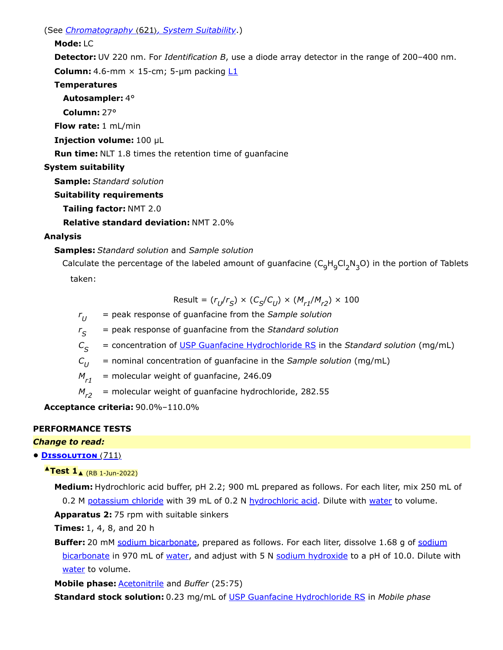(See *Chromatography* 〈621〉*, System Suitability*.)

### **Mode:** LC

**Detector:** UV 220 nm. For *Identification B*, use a diode array detector in the range of 200–400 nm.

**Column:** 4.6-mm  $\times$  15-cm; 5-µm packing  $L1$ 

# **Temperatures**

# **Autosampler:** 4°

**Column:** 27°

**Flow rate:** 1 mL/min

**Injection volume:** 100 µL

**Run time:** NLT 1.8 times the retention time of guanfacine

# **System suitability**

**Sample:** *Standard solution*

- **Suitability requirements**
	- **Tailing factor:** NMT 2.0

**Relative standard deviation:** NMT 2.0%

# **Analysis**

# **Samples:** *Standard solution* and *Sample solution*

Calculate the percentage of the labeled amount of guanfacine  $(\mathsf{C}_9\mathsf{H}_9\mathsf{Cl}_2\mathsf{N}_3\mathsf{O})$  in the portion of Tablets taken:

$$
\text{Result} = (r_U/r_S) \times (C_S/C_U) \times (M_{r1}/M_{r2}) \times 100
$$

*r* = peak response of guanfacine from the *Sample solution*  $r_{U}$ 

*r* = peak response of guanfacine from the *Standard solution*  $r_{\rm S}$ 

*C* = concentration of [USP Guanfacine Hydrochloride RS](https://store.usp.org/searchresults?Ntt=1302101&searchType=simple&type=search) in the *Standard solution* (mg/mL)  $C_{\varsigma}$ 

*C* = nominal concentration of guanfacine in the *Sample solution* (mg/mL)  $C_{II}$ 

= molecular weight of guanfacine, 246.09  $M_{r1}$ 

= molecular weight of guanfacine hydrochloride, 282.55  $M_{r2}$ 

**Acceptance criteria:** 90.0%–110.0%

# **PERFORMANCE TESTS**

# *Change to read:*

# **• Dissolution** 〈711〉

# **▲Test 1**▲ (RB 1-Jun-2022)

**Medium:** Hydrochloric acid buffer, pH 2.2; 900 mL prepared as follows. For each liter, mix 250 mL of 0.2 M potassium chloride with 39 mL of 0.2 N hydrochloric acid. Dilute with water to volume.

**Apparatus 2:** 75 rpm with suitable sinkers

**Times:** 1, 4, 8, and 20 h

**Buffer:** 20 mM sodium bicarbonate, prepared as follows. For each liter, dissolve 1.68 g of sodium bicarbonate in 970 mL of water, and adjust with 5 N sodium hydroxide to a pH of 10.0. Dilute with water to volume.

**Mobile phase:** Acetonitrile and *Buffer* (25:75)

**Standard stock solution:** 0.23 mg/mL of [USP Guanfacine Hydrochloride RS](https://store.usp.org/searchresults?Ntt=1302101&searchType=simple&type=search) in *Mobile phase*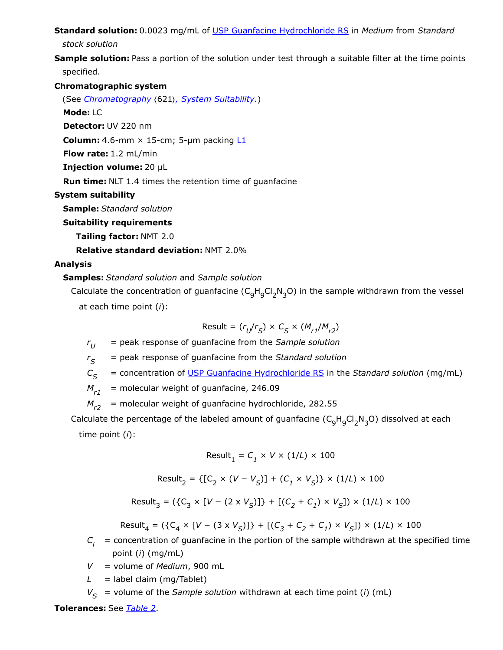**Standard solution:** 0.0023 mg/mL of [USP Guanfacine Hydrochloride RS](https://store.usp.org/searchresults?Ntt=1302101&searchType=simple&type=search) in *Medium* from *Standard*

*stock solution*

**Sample solution:** Pass a portion of the solution under test through a suitable filter at the time points specified.

**Chromatographic system**

(See *Chromatography* 〈621〉*, System Suitability*.)

**Mode:** LC

**Detector:** UV 220 nm

**Column:** 4.6-mm  $\times$  15-cm; 5-µm packing  $L1$ 

**Flow rate:** 1.2 mL/min

**Injection volume:** 20 µL

**Run time:** NLT 1.4 times the retention time of guanfacine

**System suitability**

**Sample:** *Standard solution*

**Suitability requirements**

**Tailing factor:** NMT 2.0

**Relative standard deviation:** NMT 2.0%

### **Analysis**

# **Samples:** *Standard solution* and *Sample solution*

Calculate the concentration of guanfacine ( $\mathsf{C_gH_gCl_2N_3O}$ ) in the sample withdrawn from the vessel at each time point (*i*):

$$
\text{Result} = (r_{U}/r_{S}) \times C_{S} \times (M_{r1}/M_{r2})
$$

*r* = peak response of guanfacine from the *Sample solution*  $r_{II}$ 

*r* = peak response of guanfacine from the *Standard solution S*

*C* = concentration of [USP Guanfacine Hydrochloride RS](https://store.usp.org/searchresults?Ntt=1302101&searchType=simple&type=search) in the *Standard solution* (mg/mL)  $C_{\rm c}$ 

= molecular weight of guanfacine, 246.09  $M_{r1}$ 

= molecular weight of guanfacine hydrochloride, 282.55  $M_{r2}$ 

Calculate the percentage of the labeled amount of guanfacine ( $\mathsf{C}_9\mathsf{H}_9\mathsf{Cl}_2\mathsf{N}_3$ O) dissolved at each time point (*i*):

$$
\text{Result}_1 = C_1 \times V \times (1/L) \times 100
$$

Result = {[C × (*V* − *V* )] + (*C* × *V* )} × (1/*L*) × 100 2 2 *S 1 S*

 $\text{Result}_3 = (\{C_3 \times [V - (2 \times V_S)]\} + [(C_2 + C_1) \times V_S]) \times (1/L) \times 100$ 

 $\text{Result}_4 = (\{C_4 \times [V - (3 \times V_S)]\} + [(C_3 + C_2 + C_1) \times V_S]) \times (1/L) \times 100$ 

- $C_i$  = concentration of guanfacine in the portion of the sample withdrawn at the specified time point (*i*) (mg/mL)
- *V* = volume of *Medium*, 900 mL
- $L =$  label claim (mg/Tablet)
- $V_{\mathcal{S}}$  = volume of the *Sample solution* withdrawn at each time point (*i*) (mL)

**Tolerances:** See *[Table 2](#page-4-0)*.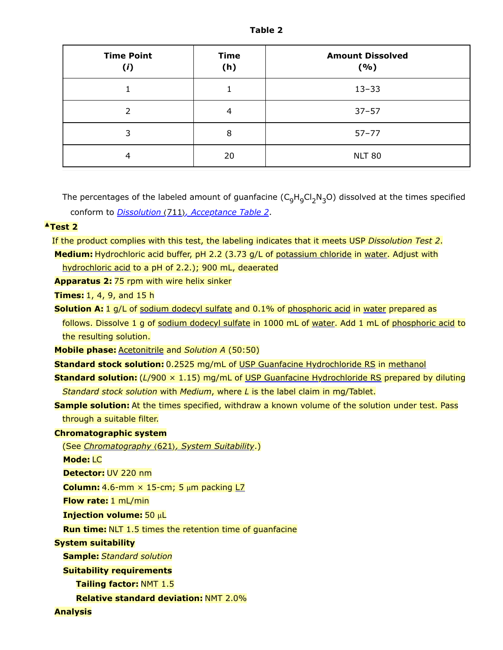<span id="page-4-0"></span>

| <b>Time Point</b><br>(i) | <b>Time</b><br>(h) | <b>Amount Dissolved</b><br>(%) |
|--------------------------|--------------------|--------------------------------|
|                          |                    | $13 - 33$                      |
| $\mathcal{P}$            | 4                  | $37 - 57$                      |
| 3                        | 8                  | $57 - 77$                      |
| 4                        | 20                 | <b>NLT 80</b>                  |

The percentages of the labeled amount of guanfacine ( $\mathsf{C}_{9}\mathsf{H}_{9}\mathsf{Cl}_{2}\mathsf{N}_{3}$ O) dissolved at the times specified conform to *Dissolution (711), Acceptance Table 2*.

### **▲Test 2**

If the product complies with this test, the labeling indicates that it meets USP *Dissolution Test 2*. **Medium:** Hydrochloric acid buffer, pH 2.2 (3.73 g/L of potassium chloride in water. Adjust with

hydrochloric acid to a pH of 2.2.); 900 mL, deaerated

**Apparatus 2:** 75 rpm with wire helix sinker

**Times:** 1, 4, 9, and 15 h

**Solution A:** 1 g/L of sodium dodecyl sulfate and 0.1% of phosphoric acid in water prepared as follows. Dissolve 1 g of sodium dodecyl sulfate in 1000 mL of water. Add 1 mL of phosphoric acid to the resulting solution.

**Mobile phase:** Acetonitrile and *Solution A* (50:50)

**Standard stock solution:** 0.2525 mg/mL of [USP Guanfacine Hydrochloride RS](https://store.usp.org/searchresults?Ntt=1302101&searchType=simple&type=search) in methanol

**Standard solution:** (*L*/900 × 1.15) mg/mL of [USP Guanfacine Hydrochloride RS](https://store.usp.org/searchresults?Ntt=1302101&searchType=simple&type=search) prepared by diluting *Standard stock solution* with *Medium*, where *L* is the label claim in mg/Tablet.

**Sample solution:** At the times specified, withdraw a known volume of the solution under test. Pass through a suitable filter.

#### **Chromatographic system**

(See *Chromatography* 〈621〉*, System Suitability*.)

**Mode:** LC

**Detector:** UV 220 nm

**Column:** 4.6-mm  $\times$  15-cm; 5  $\mu$ m packing  $L$ 7

**Flow rate:** 1 mL/min

**Injection volume:** 50 μL

**Run time:** NLT 1.5 times the retention time of guanfacine

#### **System suitability**

**Sample:** *Standard solution*

**Suitability requirements**

**Tailing factor:** NMT 1.5

**Relative standard deviation:** NMT 2.0%

**Analysis**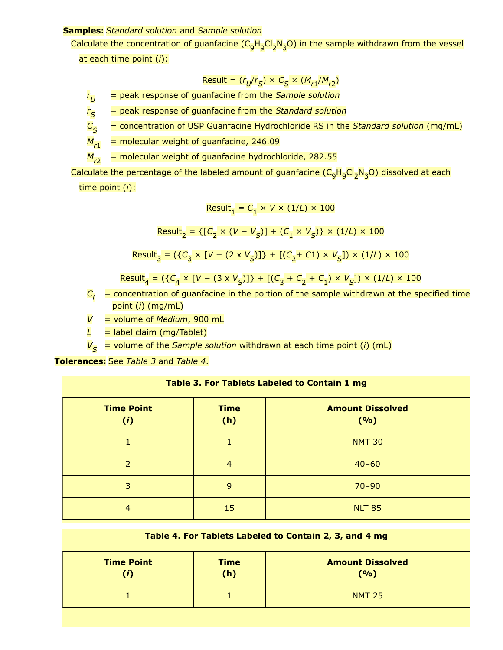#### **Samples:** *Standard solution* and *Sample solution*

Calculate the concentration of guanfacine (C<sub>9</sub>H<sub>9</sub>Cl<sub>2</sub>N<sub>3</sub>O) in the sample withdrawn from the vessel at each time point (*i*):

$$
Result = (r_{U}/r_{S}) \times C_{S} \times (M_{r1}/M_{r2})
$$

*r* = peak response of guanfacine from the *Sample solution*  $r_{II}$ 

*r* = peak response of guanfacine from the *Standard solution*  $r_{\rm S}$ 

*C* = concentration of [USP Guanfacine Hydrochloride RS](https://store.usp.org/searchresults?Ntt=1302101&searchType=simple&type=search) in the *Standard solution* (mg/mL)  $C_{\leq}$ 

= molecular weight of guanfacine, 246.09  $M_{r1}$ 

= molecular weight of guanfacine hydrochloride, 282.55  $M_{r2}$ 

Calculate the percentage of the labeled amount of guanfacine (C<sub>9</sub>H<sub>9</sub>Cl<sub>2</sub>N<sub>3</sub>O) dissolved at each time point (*i*):

$$
Result_1 = C_1 \times V \times (1/L) \times 100
$$

 ${\sf Result}_2 = \{ [C_2 \times (V - V_{\overline{S}})] + (C_1 \times V_{\overline{S}}) \} \times (1/L) \times 100 \}$ 

$$
Result_3 = (\{C_3 \times [V - (2 \times V_S)]\} + [(C_2 + C1) \times V_S]) \times (1/L) \times 100
$$

 ${\sf Result}_4 = (\{C_4 \times [V - (3 \times V_S)]\} + [(C_3 + C_2 + C_1) \times V_S]) \times (1/L) \times 100$ 

 $C_{\vec{i}}$   $\,$  = concentration of guanfacine in the portion of the sample withdrawn at the specified time point (*i*) (mg/mL)

*V* = volume of *Medium*, 900 mL

 $L =$  label claim (mg/Tablet)

*V* = volume of the *Sample solution* withdrawn at each time point (*i*) (mL) *S*

<span id="page-5-0"></span>**Tolerances:** See *[Table 3](#page-5-0)* and *[Table 4](#page-5-1)*.

| Table 3. For Tablets Labeled to Contain 1 mg |  |  |  |  |
|----------------------------------------------|--|--|--|--|
|----------------------------------------------|--|--|--|--|

| <b>Time Point</b><br>(i) | <b>Time</b><br>(h) | <b>Amount Dissolved</b><br>( %) |
|--------------------------|--------------------|---------------------------------|
|                          |                    | <b>NMT 30</b>                   |
| $\mathcal{P}$            | 4                  | $40 - 60$                       |
| 3                        | 9                  | $70 - 90$                       |
| 4                        | 15                 | <b>NLT 85</b>                   |

#### **Table 4. For Tablets Labeled to Contain 2, 3, and 4 mg**

<span id="page-5-1"></span>

| <b>Time Point</b> | <b>Time</b><br>(h) | <b>Amount Dissolved</b><br>(9/6) |
|-------------------|--------------------|----------------------------------|
|                   |                    | <b>NMT 25</b>                    |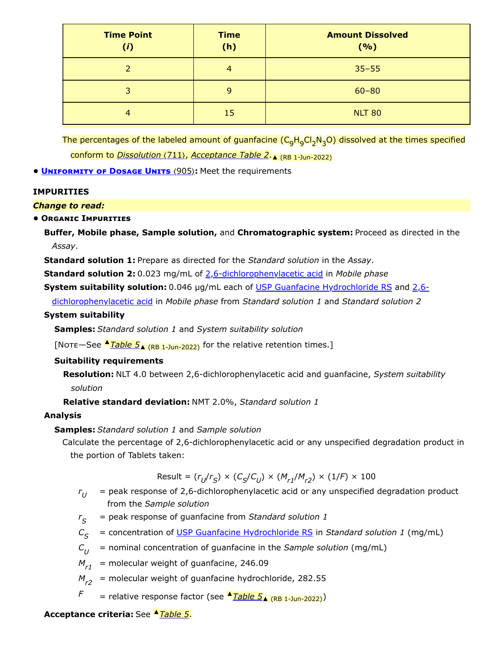| <b>Time Point</b><br>(i) | <b>Time</b><br>(h) | <b>Amount Dissolved</b><br>(%) |
|--------------------------|--------------------|--------------------------------|
|                          | 4                  | $35 - 55$                      |
| 3.                       | 9                  | $60 - 80$                      |
| 4                        | 15                 | <b>NLT 80</b>                  |

The percentages of the labeled amount of guanfacine (C<sub>9</sub>H<sub>9</sub>Cl<sub>2</sub>N<sub>3</sub>O) dissolved at the times specified conform to *Dissolution* (711), *Acceptance Table 2.* A (RB 1-Jun-2022)

**• UNIFORMITY OF DOSAGE UNITS** (905): Meet the requirements

### **IMPURITIES**

### *Change to read:*

# **• Organic Impurities**

**Buffer, Mobile phase, Sample solution,** and **Chromatographic system:** Proceed as directed in the *Assay*.

**Standard solution 1:** Prepare as directed for the *Standard solution* in the *Assay*.

**Standard solution 2:** 0.023 mg/mL of 2,6-dichlorophenylacetic acid in *Mobile phase*

System suitability solution: 0.046 µg/mL each of [USP Guanfacine Hydrochloride RS](https://store.usp.org/searchresults?Ntt=1302101&searchType=simple&type=search) and 2,6-

dichlorophenylacetic acid in *Mobile phase* from *Standard solution 1* and *Standard solution 2*

### **System suitability**

**Samples:** *Standard solution 1* and *System suitability solution*

[Note—See <u>▲*[Table](#page-7-0) 5*▲ (RB 1-Jun-2022</u>)</u> for the relative retention times.]

# **Suitability requirements**

**Resolution:** NLT 4.0 between 2,6-dichlorophenylacetic acid and guanfacine, *System suitability solution*

**Relative standard deviation:** NMT 2.0%, *Standard solution 1*

# **Analysis**

# **Samples:** *Standard solution 1* and *Sample solution*

Calculate the percentage of 2,6-dichlorophenylacetic acid or any unspecified degradation product in the portion of Tablets taken:

$$
\text{Result} = (r_U/r_S) \times (C_S/C_U) \times (M_{r1}/M_{r2}) \times (1/F) \times 100
$$

- $r_{U}$   $=$  peak response of 2,6-dichlorophenylacetic acid or any unspecified degradation product from the *Sample solution*
- *r* = peak response of guanfacine from *Standard solution 1*  $r_{\varsigma}$
- $C_{\mathcal{S}}$  = concentration of <u>USP Guanfacine Hydrochloride RS</u> in *Standard solution 1* (mg/mL)
- *C* = nominal concentration of guanfacine in the *Sample solution* (mg/mL)  $C_{II}$
- $M_{r1}$  = molecular weight of guanfacine, 246.09
- $M_{r2}$  = molecular weight of guanfacine hydrochloride, 282.55
- $F =$  relative response factor (see  $\triangleq$ *[Table](#page-7-0)*  $5_{\triangle}$  (RB 1-Jun-2022))

### **Acceptance criteria:** See ▲*[Table](#page-7-0) 5*.